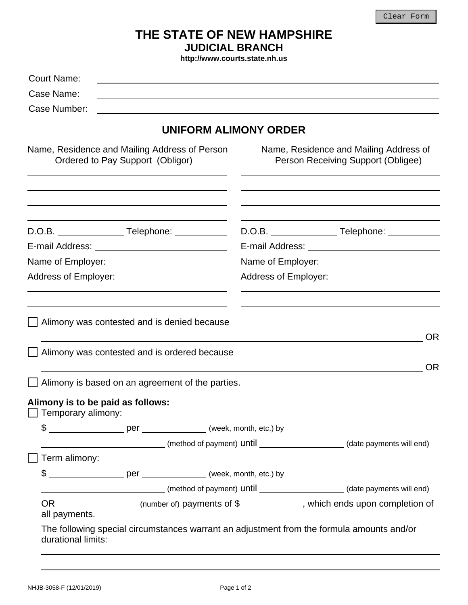## **THE STATE OF NEW HAMPSHIRE JUDICIAL BRANCH**

**http://www.courts.state.nh.us** 

| Court Name:                                                                       |                                                                                                  |
|-----------------------------------------------------------------------------------|--------------------------------------------------------------------------------------------------|
| Case Name:                                                                        |                                                                                                  |
| Case Number:                                                                      |                                                                                                  |
|                                                                                   | <b>UNIFORM ALIMONY ORDER</b>                                                                     |
| Name, Residence and Mailing Address of Person<br>Ordered to Pay Support (Obligor) | Name, Residence and Mailing Address of<br>Person Receiving Support (Obligee)                     |
|                                                                                   |                                                                                                  |
|                                                                                   | D.O.B. _________________Telephone: ___________                                                   |
|                                                                                   |                                                                                                  |
|                                                                                   | Name of Employer:<br>Name of Employer:                                                           |
| <b>Address of Employer:</b>                                                       | Address of Employer:                                                                             |
|                                                                                   |                                                                                                  |
| Alimony was contested and is denied because                                       | <b>OR</b>                                                                                        |
| Alimony was contested and is ordered because                                      |                                                                                                  |
|                                                                                   | <b>OR</b>                                                                                        |
| Alimony is based on an agreement of the parties.                                  |                                                                                                  |
| Alimony is to be paid as follows:<br>$\Box$ Temporary alimony:                    |                                                                                                  |
|                                                                                   |                                                                                                  |
|                                                                                   | (date payments will end) (method of payment) until ____________________(date payments will end)  |
| Term alimony:                                                                     |                                                                                                  |
|                                                                                   |                                                                                                  |
|                                                                                   | (date payments will end) (method of payment) until _____________________(date payments will end) |
| all payments.                                                                     | OR __________________(number of) payments of \$ ____________, which ends upon completion of      |
| durational limits:                                                                | The following special circumstances warrant an adjustment from the formula amounts and/or        |